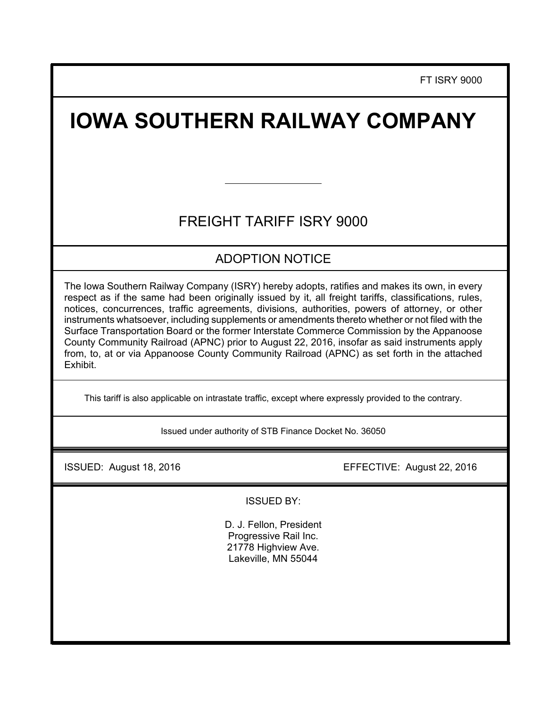FT ISRY 9000

# **IOWA SOUTHERN RAILWAY COMPANY**

# FREIGHT TARIFF ISRY 9000

# ADOPTION NOTICE

The Iowa Southern Railway Company (ISRY) hereby adopts, ratifies and makes its own, in every respect as if the same had been originally issued by it, all freight tariffs, classifications, rules, notices, concurrences, traffic agreements, divisions, authorities, powers of attorney, or other instruments whatsoever, including supplements or amendments thereto whether or not filed with the Surface Transportation Board or the former Interstate Commerce Commission by the Appanoose County Community Railroad (APNC) prior to August 22, 2016, insofar as said instruments apply from, to, at or via Appanoose County Community Railroad (APNC) as set forth in the attached Exhibit.

This tariff is also applicable on intrastate traffic, except where expressly provided to the contrary.

Issued under authority of STB Finance Docket No. 36050

ISSUED: August 18, 2016 EFFECTIVE: August 22, 2016

ISSUED BY:

D. J. Fellon, President Progressive Rail Inc. 21778 Highview Ave. Lakeville, MN 55044